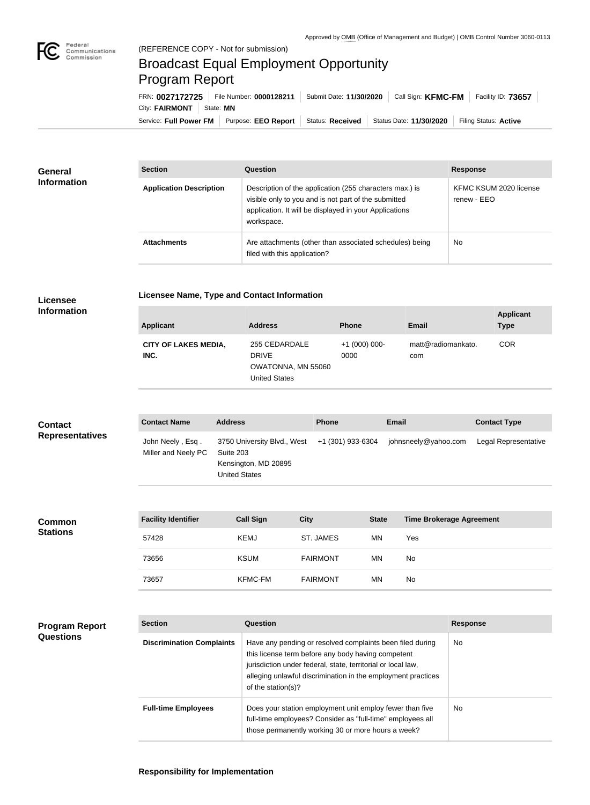

## Broadcast Equal Employment Opportunity Program Report

Service: Full Power FM Purpose: EEO Report | Status: Received | Status Date: 11/30/2020 | Filing Status: Active City: FAIRMONT | State: MN FRN: **0027172725** File Number: **0000128211** Submit Date: **11/30/2020** Call Sign: **KFMC-FM** Facility ID: **73657**

| <b>General</b><br><b>Information</b> | <b>Section</b>                 | Question                                                                                                                                                                                | <b>Response</b>                       |
|--------------------------------------|--------------------------------|-----------------------------------------------------------------------------------------------------------------------------------------------------------------------------------------|---------------------------------------|
|                                      | <b>Application Description</b> | Description of the application (255 characters max.) is<br>visible only to you and is not part of the submitted<br>application. It will be displayed in your Applications<br>workspace. | KFMC KSUM 2020 license<br>renew - EEO |
|                                      | <b>Attachments</b>             | Are attachments (other than associated schedules) being<br>filed with this application?                                                                                                 | No                                    |

## **Licensee Information**

**Program Report** 

**Questions**

|  |  | <b>Licensee Name, Type and Contact Information</b> |
|--|--|----------------------------------------------------|

| <b>Applicant</b>                    | <b>Address</b>                                                              | <b>Phone</b>         | Email                     | <b>Applicant</b><br><b>Type</b> |
|-------------------------------------|-----------------------------------------------------------------------------|----------------------|---------------------------|---------------------------------|
| <b>CITY OF LAKES MEDIA,</b><br>INC. | 255 CEDARDALE<br><b>DRIVE</b><br>OWATONNA, MN 55060<br><b>United States</b> | $+1(000)000$<br>0000 | matt@radiomankato.<br>com | <b>COR</b>                      |

| <b>Contact</b>         | <b>Contact Name</b>                     | <b>Address</b>                                                                                             | <b>Phone</b> | Email                | <b>Contact Type</b>  |
|------------------------|-----------------------------------------|------------------------------------------------------------------------------------------------------------|--------------|----------------------|----------------------|
| <b>Representatives</b> | John Neely, Esq.<br>Miller and Neely PC | 3750 University Blvd., West +1 (301) 933-6304<br>Suite 203<br>Kensington, MD 20895<br><b>United States</b> |              | johnsneely@yahoo.com | Legal Representative |

| <b>Common</b><br><b>Stations</b> | <b>Facility Identifier</b> | <b>Call Sign</b> | <b>City</b>     | <b>State</b> | <b>Time Brokerage Agreement</b> |
|----------------------------------|----------------------------|------------------|-----------------|--------------|---------------------------------|
|                                  | 57428                      | <b>KEMJ</b>      | ST. JAMES       | <b>MN</b>    | Yes                             |
|                                  | 73656                      | <b>KSUM</b>      | <b>FAIRMONT</b> | <b>MN</b>    | No                              |
|                                  | 73657                      | KFMC-FM          | <b>FAIRMONT</b> | <b>MN</b>    | No                              |

| <b>Section</b>                   | Question                                                                                                                                                                                                                                                              | <b>Response</b> |
|----------------------------------|-----------------------------------------------------------------------------------------------------------------------------------------------------------------------------------------------------------------------------------------------------------------------|-----------------|
| <b>Discrimination Complaints</b> | Have any pending or resolved complaints been filed during<br>this license term before any body having competent<br>jurisdiction under federal, state, territorial or local law,<br>alleging unlawful discrimination in the employment practices<br>of the station(s)? | No              |
| <b>Full-time Employees</b>       | Does your station employment unit employ fewer than five<br>full-time employees? Consider as "full-time" employees all<br>those permanently working 30 or more hours a week?                                                                                          | No              |